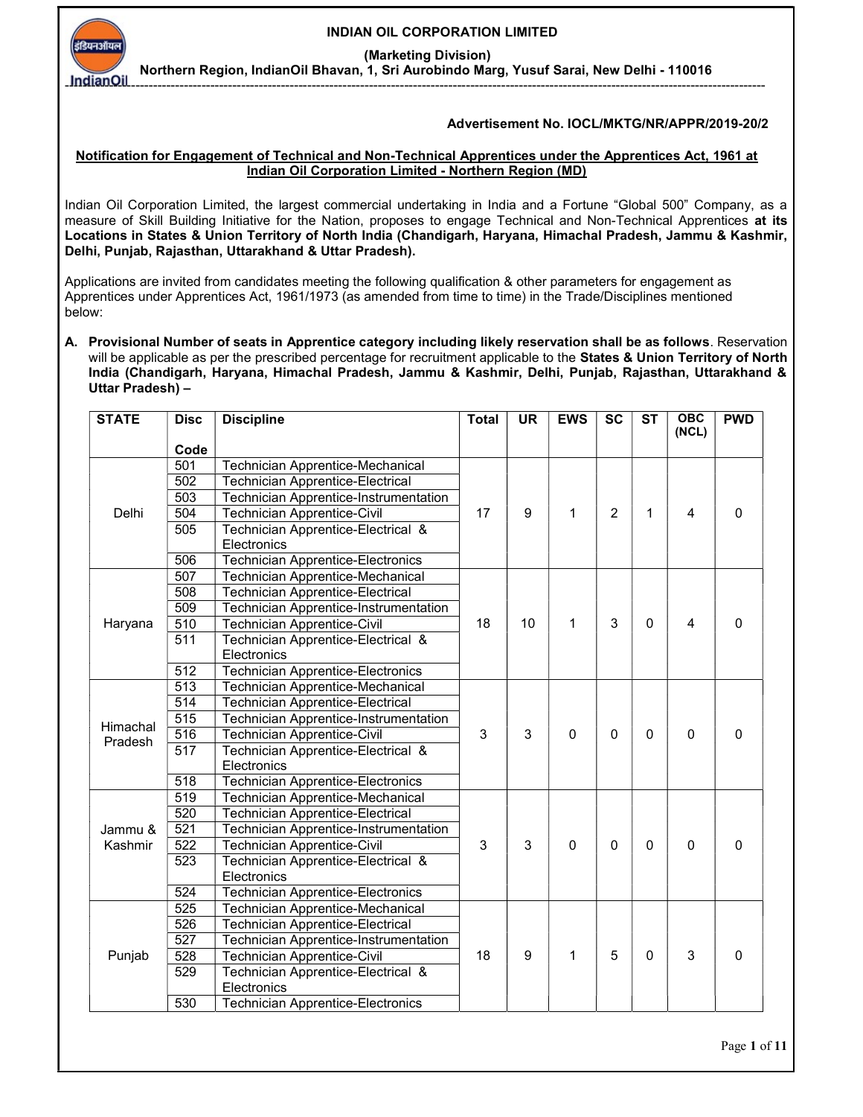INDIAN OIL CORPORATION LIMITED

(Marketing Division)

---------------------------------------------------------------------------------------------------------------------------------------------------------------

Northern Region, IndianOil Bhavan, 1, Sri Aurobindo Marg, Yusuf Sarai, New Delhi - 110016

## Advertisement No. IOCL/MKTG/NR/APPR/2019-20/2

## Notification for Engagement of Technical and Non-Technical Apprentices under the Apprentices Act, 1961 at Indian Oil Corporation Limited - Northern Region (MD)

Indian Oil Corporation Limited, the largest commercial undertaking in India and a Fortune "Global 500" Company, as a measure of Skill Building Initiative for the Nation, proposes to engage Technical and Non-Technical Apprentices at its Locations in States & Union Territory of North India (Chandigarh, Haryana, Himachal Pradesh, Jammu & Kashmir, Delhi, Punjab, Rajasthan, Uttarakhand & Uttar Pradesh).

Applications are invited from candidates meeting the following qualification & other parameters for engagement as Apprentices under Apprentices Act, 1961/1973 (as amended from time to time) in the Trade/Disciplines mentioned below:

A. Provisional Number of seats in Apprentice category including likely reservation shall be as follows. Reservation will be applicable as per the prescribed percentage for recruitment applicable to the States & Union Territory of North India (Chandigarh, Haryana, Himachal Pradesh, Jammu & Kashmir, Delhi, Punjab, Rajasthan, Uttarakhand & Uttar Pradesh) –

| <b>STATE</b> | <b>Disc</b>      | <b>Discipline</b>                                 | <b>Total</b> | <b>UR</b> | <b>EWS</b>  | <b>SC</b>      | <b>ST</b> | $\overline{OBC}$<br>(NCL) | <b>PWD</b>  |
|--------------|------------------|---------------------------------------------------|--------------|-----------|-------------|----------------|-----------|---------------------------|-------------|
|              | Code             |                                                   |              |           |             |                |           |                           |             |
|              | 501              | Technician Apprentice-Mechanical                  | 17           | 9         | 1           | $\overline{2}$ |           | 4                         |             |
|              | 502              | <b>Technician Apprentice-Electrical</b>           |              |           |             |                |           |                           |             |
|              | 503              | Technician Apprentice-Instrumentation             |              |           |             |                | 1         |                           |             |
| Delhi        | 504              | <b>Technician Apprentice-Civil</b>                |              |           |             |                |           |                           | 0           |
|              | 505              | Technician Apprentice-Electrical &                |              |           |             |                |           |                           |             |
|              |                  | Electronics                                       |              |           |             |                |           |                           |             |
|              | 506              | <b>Technician Apprentice-Electronics</b>          |              |           |             |                |           |                           |             |
|              | 507              | Technician Apprentice-Mechanical                  |              |           |             | 3              | $\Omega$  | 4                         |             |
|              | 508              | <b>Technician Apprentice-Electrical</b>           |              | 10        | 1           |                |           |                           | $\mathbf 0$ |
|              | 509              | <b>Technician Apprentice-Instrumentation</b>      | 18           |           |             |                |           |                           |             |
| Haryana      | 510              | <b>Technician Apprentice-Civil</b>                |              |           |             |                |           |                           |             |
|              | 511              | Technician Apprentice-Electrical &                |              |           |             |                |           |                           |             |
|              |                  | Electronics                                       |              |           |             |                |           |                           |             |
|              | 512              | <b>Technician Apprentice-Electronics</b>          |              |           |             |                |           |                           |             |
|              | 513              | Technician Apprentice-Mechanical                  | 3            | 3         | $\mathbf 0$ | $\Omega$       | $\Omega$  | $\mathbf 0$               |             |
|              | 514              | <b>Technician Apprentice-Electrical</b>           |              |           |             |                |           |                           |             |
| Himachal     | 515              | Technician Apprentice-Instrumentation             |              |           |             |                |           |                           |             |
| Pradesh      | $\overline{516}$ | <b>Technician Apprentice-Civil</b>                |              |           |             |                |           |                           | $\pmb{0}$   |
|              | $\overline{517}$ | Technician Apprentice-Electrical &                |              |           |             |                |           |                           |             |
|              |                  | Electronics                                       |              |           |             |                |           |                           |             |
|              | $\overline{518}$ | <b>Technician Apprentice-Electronics</b>          |              |           |             |                |           |                           |             |
|              | $\overline{519}$ | Technician Apprentice-Mechanical                  |              |           |             | 0              |           |                           |             |
|              | 520              | <b>Technician Apprentice-Electrical</b>           | 3            | 3         | $\mathbf 0$ |                |           |                           |             |
| Jammu &      | 521              | Technician Apprentice-Instrumentation             |              |           |             |                |           |                           |             |
| Kashmir      | 522              | <b>Technician Apprentice-Civil</b>                |              |           |             |                | $\Omega$  | $\mathbf 0$               | $\pmb{0}$   |
|              | 523              | Technician Apprentice-Electrical &                |              |           |             |                |           |                           |             |
|              |                  | Electronics                                       |              |           |             |                |           |                           |             |
|              | 524              | <b>Technician Apprentice-Electronics</b>          |              |           |             |                |           |                           |             |
|              | 525              | Technician Apprentice-Mechanical                  | 18           | 9         | 1           | 5              | 0         | 3                         |             |
|              | 526              | <b>Technician Apprentice-Electrical</b>           |              |           |             |                |           |                           | 0           |
|              | 527              | <b>Technician Apprentice-Instrumentation</b>      |              |           |             |                |           |                           |             |
| Punjab       | 528              | Technician Apprentice-Civil                       |              |           |             |                |           |                           |             |
|              | 529              | Technician Apprentice-Electrical &<br>Electronics |              |           |             |                |           |                           |             |
|              | 530              | <b>Technician Apprentice-Electronics</b>          |              |           |             |                |           |                           |             |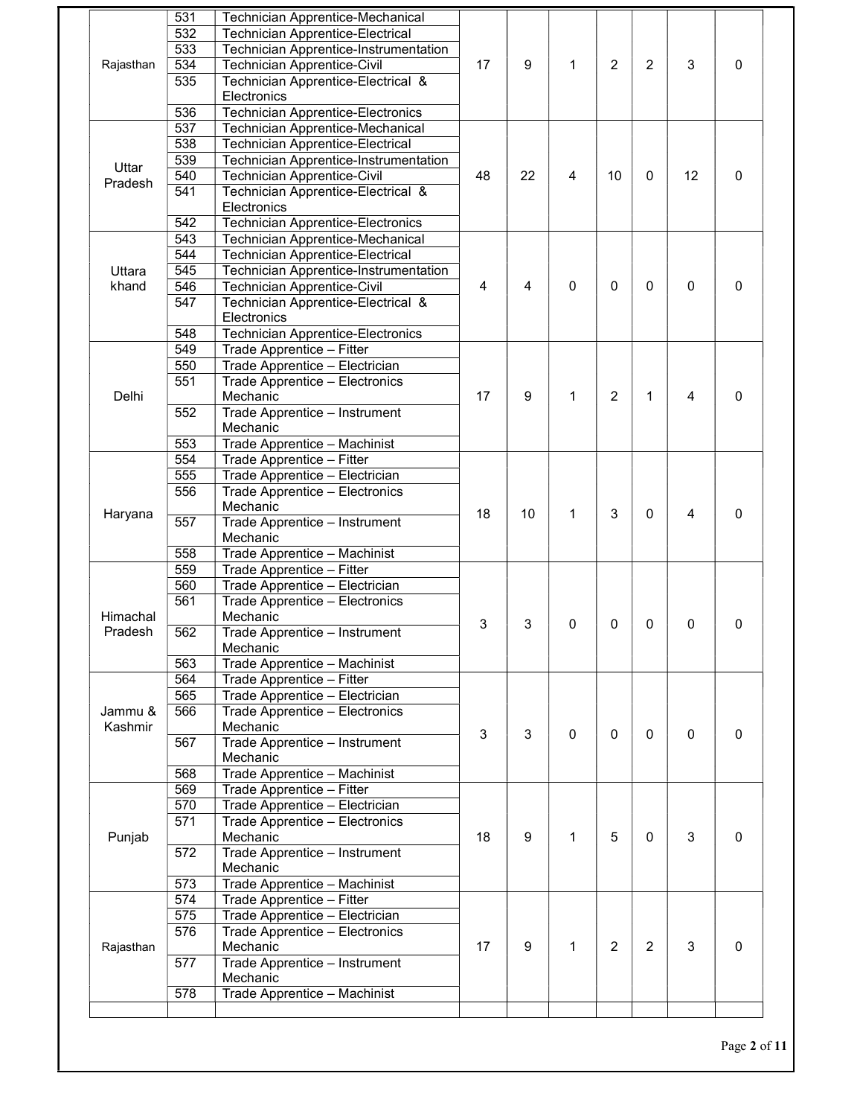|                  | 531              | Technician Apprentice-Mechanical         |    |    |              |                |                |    |   |
|------------------|------------------|------------------------------------------|----|----|--------------|----------------|----------------|----|---|
|                  | 532              | <b>Technician Apprentice-Electrical</b>  |    |    |              |                |                |    |   |
| Rajasthan        | 533              | Technician Apprentice-Instrumentation    |    |    |              |                |                | 3  | 0 |
|                  | $\overline{534}$ | <b>Technician Apprentice-Civil</b>       | 17 | 9  | 1            | 2              | 2              |    |   |
|                  | 535              | Technician Apprentice-Electrical &       |    |    |              |                |                |    |   |
|                  |                  | Electronics                              |    |    |              |                |                |    |   |
|                  | 536              | <b>Technician Apprentice-Electronics</b> |    |    |              |                |                |    |   |
|                  | 537              | Technician Apprentice-Mechanical         |    |    |              | 10             |                |    |   |
|                  | 538              | <b>Technician Apprentice-Electrical</b>  |    |    |              |                |                |    |   |
|                  | 539              | Technician Apprentice-Instrumentation    |    | 22 | 4            |                | 0              | 12 | 0 |
| Uttar<br>Pradesh | 540              | <b>Technician Apprentice-Civil</b>       | 48 |    |              |                |                |    |   |
|                  | 541              | Technician Apprentice-Electrical &       |    |    |              |                |                |    |   |
|                  |                  | Electronics                              |    |    |              |                |                |    |   |
|                  | 542              | <b>Technician Apprentice-Electronics</b> |    |    |              |                |                |    |   |
|                  | 543              | <b>Technician Apprentice-Mechanical</b>  |    |    | 0            |                |                | 0  |   |
|                  | 544              | <b>Technician Apprentice-Electrical</b>  |    |    |              |                |                |    |   |
| Uttara           | 545              | Technician Apprentice-Instrumentation    |    |    |              | 0              | 0              |    |   |
| khand            | 546              | <b>Technician Apprentice-Civil</b>       | 4  | 4  |              |                |                |    | 0 |
|                  | 547              | Technician Apprentice-Electrical &       |    |    |              |                |                |    |   |
|                  |                  | Electronics                              |    |    |              |                |                |    |   |
|                  | 548              | <b>Technician Apprentice-Electronics</b> |    |    |              |                |                |    |   |
|                  | 549              | Trade Apprentice - Fitter                |    |    | 1            |                |                |    |   |
|                  | 550              | Trade Apprentice - Electrician           |    |    |              |                |                |    |   |
|                  | 551              | Trade Apprentice - Electronics           |    |    |              |                |                | 4  |   |
| Delhi            |                  | Mechanic                                 | 17 | 9  |              | $\overline{2}$ | 1              |    | 0 |
|                  | 552              | Trade Apprentice - Instrument            |    |    |              |                |                |    |   |
|                  |                  | Mechanic                                 |    |    |              |                |                |    |   |
|                  | 553              | Trade Apprentice - Machinist             |    |    |              |                |                |    |   |
|                  | 554              | Trade Apprentice - Fitter                | 18 |    |              |                |                |    |   |
|                  | 555              | Trade Apprentice - Electrician           |    | 10 | $\mathbf{1}$ |                | 0              | 4  | 0 |
|                  | 556              | Trade Apprentice - Electronics           |    |    |              | 3              |                |    |   |
| Haryana          |                  | Mechanic                                 |    |    |              |                |                |    |   |
|                  | 557              | Trade Apprentice - Instrument            |    |    |              |                |                |    |   |
|                  |                  | Mechanic                                 |    |    |              |                |                |    |   |
|                  | 558              | Trade Apprentice - Machinist             |    |    |              |                |                |    |   |
|                  | 559              | Trade Apprentice - Fitter                | 3  | 3  | 0            | 0              | 0              | 0  |   |
|                  | 560              | Trade Apprentice - Electrician           |    |    |              |                |                |    |   |
|                  | 561              | Trade Apprentice - Electronics           |    |    |              |                |                |    |   |
| Himachal         |                  | Mechanic                                 |    |    |              |                |                |    | 0 |
| Pradesh          | 562              | Trade Apprentice - Instrument            |    |    |              |                |                |    |   |
|                  |                  | Mechanic                                 |    |    |              |                |                |    |   |
|                  | 563              | Trade Apprentice - Machinist             |    |    |              |                |                |    |   |
|                  | 564              | Trade Apprentice - Fitter                | 3  | 3  | 0            | 0              | 0              |    |   |
|                  | 565              | Trade Apprentice - Electrician           |    |    |              |                |                |    |   |
| Jammu &          | 566              | Trade Apprentice - Electronics           |    |    |              |                |                | 0  |   |
| Kashmir          |                  | Mechanic                                 |    |    |              |                |                |    | 0 |
|                  | 567              | Trade Apprentice - Instrument            |    |    |              |                |                |    |   |
|                  |                  | Mechanic                                 |    |    |              |                |                |    |   |
|                  | 568              | Trade Apprentice - Machinist             |    |    |              |                |                |    |   |
| Punjab           | 569              | Trade Apprentice - Fitter                |    |    |              |                |                |    |   |
|                  | 570              | Trade Apprentice - Electrician           | 18 |    | 1            | 5              | 0              |    |   |
|                  | 571              | Trade Apprentice - Electronics           |    | 9  |              |                |                | 3  |   |
|                  |                  | Mechanic                                 |    |    |              |                |                |    | 0 |
|                  | 572              | Trade Apprentice - Instrument            |    |    |              |                |                |    |   |
|                  |                  | Mechanic                                 |    |    |              |                |                |    |   |
|                  | 573              | Trade Apprentice - Machinist             | 17 | 9  | $\mathbf{1}$ | $\overline{2}$ | $\overline{2}$ | 3  |   |
|                  | 574              | Trade Apprentice - Fitter                |    |    |              |                |                |    |   |
|                  | 575              | Trade Apprentice - Electrician           |    |    |              |                |                |    |   |
|                  | 576              | Trade Apprentice - Electronics           |    |    |              |                |                |    |   |
| Rajasthan        |                  | Mechanic                                 |    |    |              |                |                |    | 0 |
|                  |                  | Trade Apprentice - Instrument            |    |    |              |                |                |    |   |
|                  | 577              |                                          |    |    |              |                |                |    |   |
|                  | 578              | Mechanic<br>Trade Apprentice - Machinist |    |    |              |                |                |    |   |

Page 2 of 11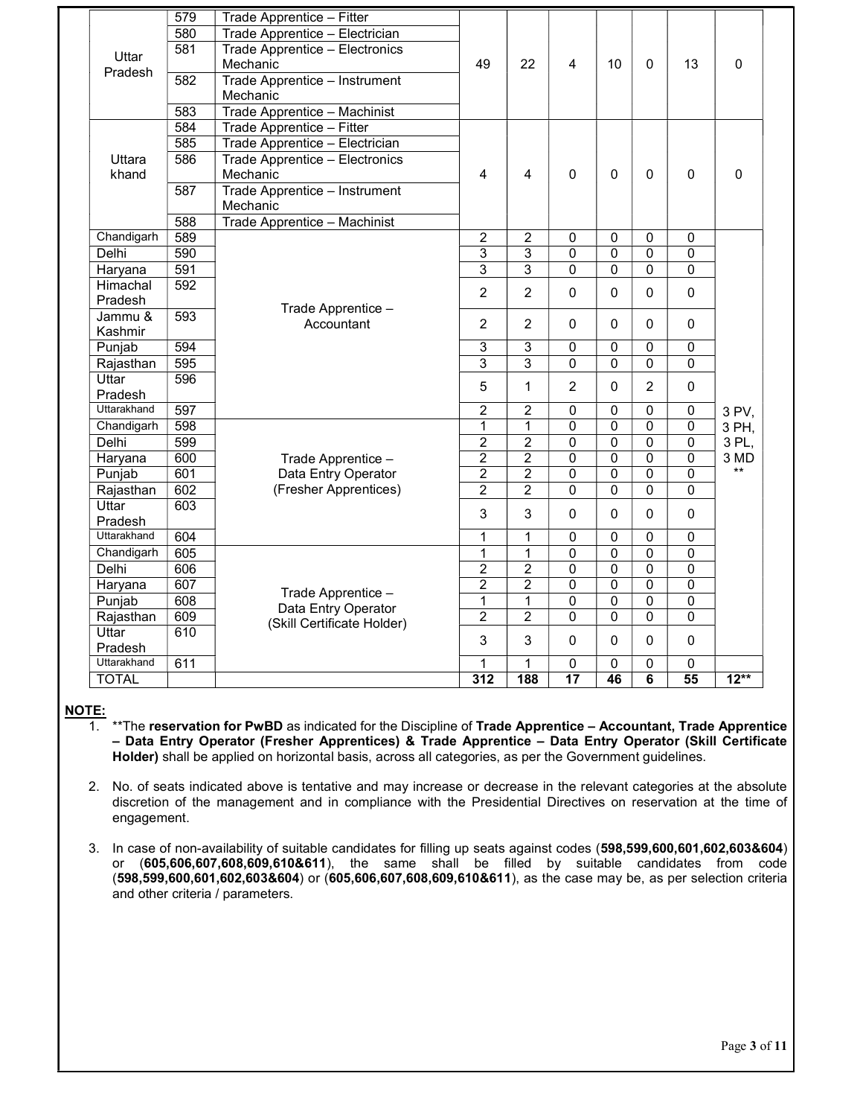|              | 579 | Trade Apprentice - Fitter      |                |                |                 |                |                |                 |             |
|--------------|-----|--------------------------------|----------------|----------------|-----------------|----------------|----------------|-----------------|-------------|
|              | 580 | Trade Apprentice - Electrician |                |                |                 |                |                |                 |             |
|              | 581 | Trade Apprentice - Electronics |                |                |                 |                |                |                 |             |
| Uttar        |     | Mechanic                       | 49             | 22             | 4               | 10             | $\Omega$       | 13              | 0           |
| Pradesh      | 582 | Trade Apprentice - Instrument  |                |                |                 |                |                |                 |             |
|              |     | Mechanic                       |                |                |                 |                |                |                 |             |
|              | 583 | Trade Apprentice - Machinist   |                |                |                 |                |                |                 |             |
|              | 584 | Trade Apprentice - Fitter      |                |                |                 |                |                |                 |             |
|              | 585 | Trade Apprentice - Electrician |                |                |                 |                |                |                 |             |
| Uttara       | 586 | Trade Apprentice - Electronics |                |                |                 |                |                |                 |             |
| khand        |     | Mechanic                       | $\overline{4}$ | 4              | 0               | $\Omega$       | $\Omega$       | $\mathbf 0$     | $\mathbf 0$ |
|              | 587 | Trade Apprentice - Instrument  |                |                |                 |                |                |                 |             |
|              |     | Mechanic                       |                |                |                 |                |                |                 |             |
|              | 588 | Trade Apprentice - Machinist   |                |                |                 |                |                |                 |             |
| Chandigarh   | 589 |                                | $\overline{2}$ | 2              | 0               | 0              | 0              | 0               |             |
| Delhi        | 590 |                                | $\overline{3}$ | 3              | 0               | 0              | 0              | 0               |             |
| Haryana      | 591 |                                | $\overline{3}$ | $\overline{3}$ | $\overline{0}$  | $\overline{0}$ | $\mathbf 0$    | $\mathbf{0}$    |             |
| Himachal     | 592 |                                |                |                |                 |                |                |                 |             |
| Pradesh      |     |                                | $\overline{2}$ | $\overline{2}$ | $\mathbf 0$     | $\Omega$       | $\Omega$       | $\Omega$        |             |
| Jammu &      | 593 | Trade Apprentice -             |                |                |                 |                |                |                 |             |
| Kashmir      |     | Accountant                     | $\overline{2}$ | $\overline{2}$ | 0               | 0              | $\Omega$       | $\Omega$        |             |
| Punjab       | 594 |                                | $\overline{3}$ | $\overline{3}$ | $\overline{0}$  | $\mathbf 0$    | $\mathbf 0$    | 0               |             |
| Rajasthan    | 595 |                                | $\overline{3}$ | 3              | $\overline{0}$  | 0              | $\overline{0}$ | $\mathbf 0$     |             |
| Uttar        | 596 |                                |                |                |                 |                |                |                 |             |
| Pradesh      |     |                                | 5              | $\mathbf{1}$   | $\overline{2}$  | $\Omega$       | $\overline{2}$ | $\mathbf 0$     |             |
| Uttarakhand  | 597 |                                | $\overline{2}$ | $\overline{2}$ | $\overline{0}$  | 0              | $\overline{0}$ | 0               | 3 PV,       |
| Chandigarh   | 598 |                                | $\mathbf 1$    | 1              | $\overline{0}$  | $\overline{0}$ | $\Omega$       | 0               | 3 PH,       |
| Delhi        | 599 |                                | $\overline{2}$ | $\overline{2}$ | $\overline{0}$  | $\overline{0}$ | $\overline{0}$ | $\mathbf 0$     | 3 PL,       |
| Haryana      | 600 | Trade Apprentice -             | $\overline{2}$ | $\overline{2}$ | $\overline{0}$  | $\overline{0}$ | $\Omega$       | $\Omega$        | 3 MD        |
| Punjab       | 601 | Data Entry Operator            | $\overline{2}$ | $\overline{2}$ | $\overline{0}$  | 0              | $\mathbf 0$    | $\mathbf 0$     | **          |
| Rajasthan    | 602 | (Fresher Apprentices)          | $\overline{2}$ | 2              | 0               | 0              | $\Omega$       | $\Omega$        |             |
| Uttar        | 603 |                                |                |                |                 |                |                |                 |             |
| Pradesh      |     |                                | 3              | 3              | $\mathbf 0$     | $\Omega$       | $\Omega$       | $\Omega$        |             |
| Uttarakhand  | 604 |                                | 1              | $\mathbf{1}$   | $\pmb{0}$       | 0              | 0              | 0               |             |
| Chandigarh   | 605 |                                | $\mathbf 1$    | 1              | 0               | 0              | $\mathbf 0$    | 0               |             |
| Delhi        | 606 |                                | $\overline{2}$ | $\overline{2}$ | $\overline{0}$  | $\overline{0}$ | $\mathbf 0$    | $\mathbf 0$     |             |
| Haryana      | 607 |                                | $\overline{2}$ | $\overline{2}$ | 0               | $\overline{0}$ | $\mathbf 0$    | 0               |             |
| Punjab       | 608 | Trade Apprentice -             | $\mathbf 1$    | $\mathbf{1}$   | $\overline{0}$  | 0              | $\mathbf 0$    | $\mathbf 0$     |             |
| Rajasthan    | 609 | Data Entry Operator            | $\overline{2}$ | $\overline{c}$ | $\mathbf 0$     | 0              | $\mathbf 0$    | $\mathbf 0$     |             |
| Uttar        | 610 | (Skill Certificate Holder)     |                |                |                 |                |                |                 |             |
| Pradesh      |     |                                | 3              | 3              | $\Omega$        | 0              | 0              | $\Omega$        |             |
| Uttarakhand  | 611 |                                | 1              | 1              | 0               | 0              | 0              | 0               |             |
| <b>TOTAL</b> |     |                                | 312            | 188            | $\overline{17}$ | 46             | 6              | $\overline{55}$ | $12**$      |
|              |     |                                |                |                |                 |                |                |                 |             |

## NOTE:

- 1. \*\*The reservation for PwBD as indicated for the Discipline of Trade Apprentice Accountant, Trade Apprentice – Data Entry Operator (Fresher Apprentices) & Trade Apprentice – Data Entry Operator (Skill Certificate Holder) shall be applied on horizontal basis, across all categories, as per the Government guidelines.
- 2. No. of seats indicated above is tentative and may increase or decrease in the relevant categories at the absolute discretion of the management and in compliance with the Presidential Directives on reservation at the time of engagement.
- 3. In case of non-availability of suitable candidates for filling up seats against codes (598,599,600,601,602,603&604) or (605,606,607,608,609,610&611), the same shall be filled by suitable candidates from code (598,599,600,601,602,603&604) or (605,606,607,608,609,610&611), as the case may be, as per selection criteria and other criteria / parameters.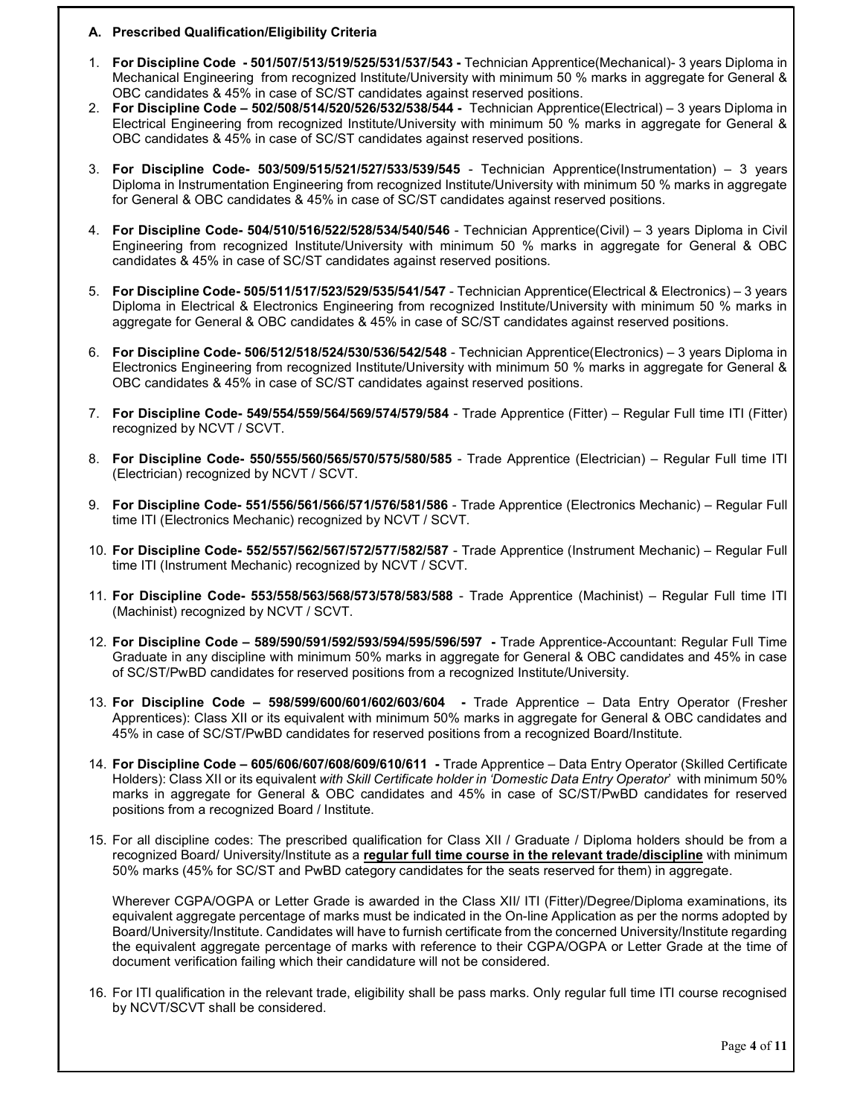### A. Prescribed Qualification/Eligibility Criteria

- 1. For Discipline Code 501/507/513/519/525/531/537/543 Technician Apprentice(Mechanical)- 3 years Diploma in Mechanical Engineering from recognized Institute/University with minimum 50 % marks in aggregate for General & OBC candidates & 45% in case of SC/ST candidates against reserved positions.
- 2. For Discipline Code 502/508/514/520/526/532/538/544 Technician Apprentice(Electrical) 3 years Diploma in Electrical Engineering from recognized Institute/University with minimum 50 % marks in aggregate for General & OBC candidates & 45% in case of SC/ST candidates against reserved positions.
- 3. For Discipline Code- 503/509/515/521/527/533/539/545 Technician Apprentice(Instrumentation) 3 years Diploma in Instrumentation Engineering from recognized Institute/University with minimum 50 % marks in aggregate for General & OBC candidates & 45% in case of SC/ST candidates against reserved positions.
- 4. For Discipline Code- 504/510/516/522/528/534/540/546 Technician Apprentice(Civil) 3 years Diploma in Civil Engineering from recognized Institute/University with minimum 50 % marks in aggregate for General & OBC candidates & 45% in case of SC/ST candidates against reserved positions.
- 5. For Discipline Code- 505/511/517/523/529/535/541/547 Technician Apprentice(Electrical & Electronics) 3 years Diploma in Electrical & Electronics Engineering from recognized Institute/University with minimum 50 % marks in aggregate for General & OBC candidates & 45% in case of SC/ST candidates against reserved positions.
- 6. For Discipline Code- 506/512/518/524/530/536/542/548 Technician Apprentice(Electronics) 3 years Diploma in Electronics Engineering from recognized Institute/University with minimum 50 % marks in aggregate for General & OBC candidates & 45% in case of SC/ST candidates against reserved positions.
- 7. For Discipline Code- 549/554/559/564/569/574/579/584 Trade Apprentice (Fitter) Regular Full time ITI (Fitter) recognized by NCVT / SCVT.
- 8. For Discipline Code- 550/555/560/565/570/575/580/585 Trade Apprentice (Electrician) Regular Full time ITI (Electrician) recognized by NCVT / SCVT.
- 9. For Discipline Code- 551/556/561/566/571/576/581/586 Trade Apprentice (Electronics Mechanic) Regular Full time ITI (Electronics Mechanic) recognized by NCVT / SCVT.
- 10. For Discipline Code- 552/557/562/567/572/577/582/587 Trade Apprentice (Instrument Mechanic) Regular Full time ITI (Instrument Mechanic) recognized by NCVT / SCVT.
- 11. For Discipline Code- 553/558/563/568/573/578/583/588 Trade Apprentice (Machinist) Regular Full time ITI (Machinist) recognized by NCVT / SCVT.
- 12. For Discipline Code 589/590/591/592/593/594/595/596/597 Trade Apprentice-Accountant: Regular Full Time Graduate in any discipline with minimum 50% marks in aggregate for General & OBC candidates and 45% in case of SC/ST/PwBD candidates for reserved positions from a recognized Institute/University.
- 13. For Discipline Code 598/599/600/601/602/603/604 Trade Apprentice Data Entry Operator (Fresher Apprentices): Class XII or its equivalent with minimum 50% marks in aggregate for General & OBC candidates and 45% in case of SC/ST/PwBD candidates for reserved positions from a recognized Board/Institute.
- 14. For Discipline Code 605/606/607/608/609/610/611 Trade Apprentice Data Entry Operator (Skilled Certificate Holders): Class XII or its equivalent with Skill Certificate holder in 'Domestic Data Entry Operator' with minimum 50% marks in aggregate for General & OBC candidates and 45% in case of SC/ST/PwBD candidates for reserved positions from a recognized Board / Institute.
- 15. For all discipline codes: The prescribed qualification for Class XII / Graduate / Diploma holders should be from a recognized Board/ University/Institute as a regular full time course in the relevant trade/discipline with minimum 50% marks (45% for SC/ST and PwBD category candidates for the seats reserved for them) in aggregate.

Wherever CGPA/OGPA or Letter Grade is awarded in the Class XII/ ITI (Fitter)/Degree/Diploma examinations, its equivalent aggregate percentage of marks must be indicated in the On-line Application as per the norms adopted by Board/University/Institute. Candidates will have to furnish certificate from the concerned University/Institute regarding the equivalent aggregate percentage of marks with reference to their CGPA/OGPA or Letter Grade at the time of document verification failing which their candidature will not be considered.

16. For ITI qualification in the relevant trade, eligibility shall be pass marks. Only regular full time ITI course recognised by NCVT/SCVT shall be considered.

Page 4 of 11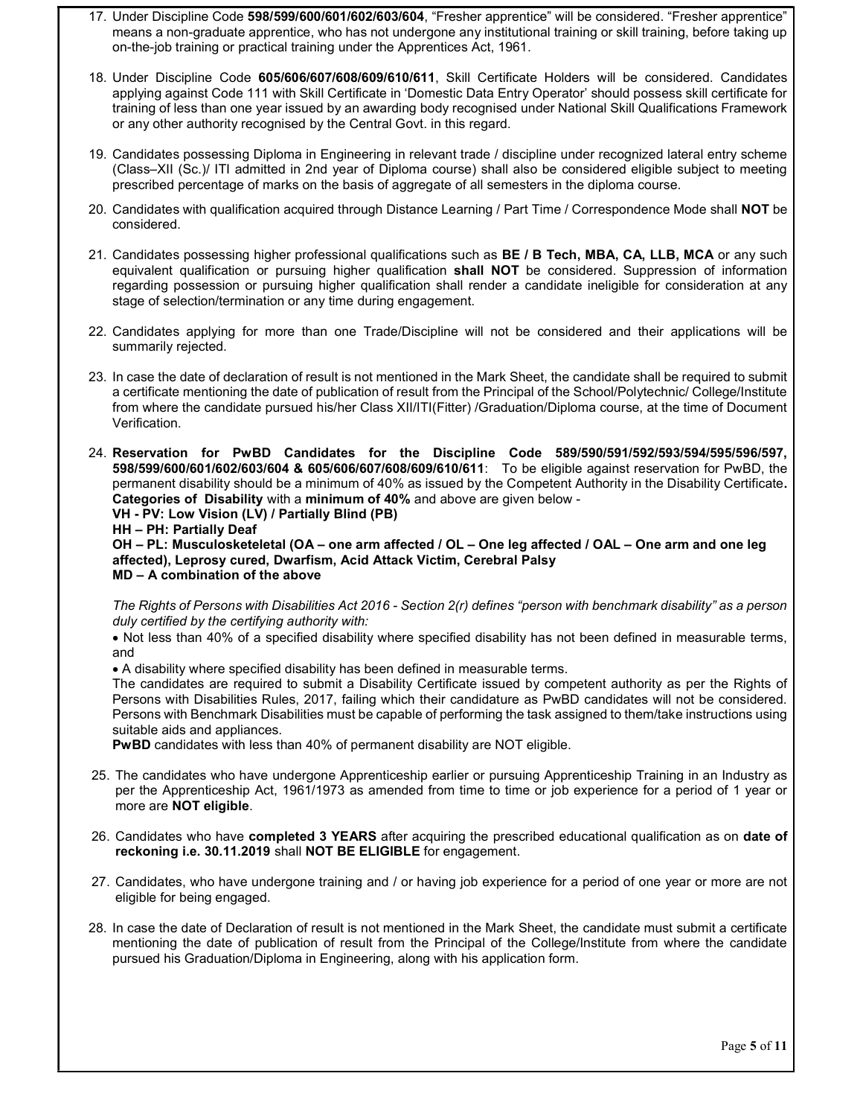- 17. Under Discipline Code 598/599/600/601/602/603/604, "Fresher apprentice" will be considered. "Fresher apprentice" means a non-graduate apprentice, who has not undergone any institutional training or skill training, before taking up on-the-job training or practical training under the Apprentices Act, 1961.
- 18. Under Discipline Code 605/606/607/608/609/610/611, Skill Certificate Holders will be considered. Candidates applying against Code 111 with Skill Certificate in 'Domestic Data Entry Operator' should possess skill certificate for training of less than one year issued by an awarding body recognised under National Skill Qualifications Framework or any other authority recognised by the Central Govt. in this regard.
- 19. Candidates possessing Diploma in Engineering in relevant trade / discipline under recognized lateral entry scheme (Class–XII (Sc.)/ ITI admitted in 2nd year of Diploma course) shall also be considered eligible subject to meeting prescribed percentage of marks on the basis of aggregate of all semesters in the diploma course.
- 20. Candidates with qualification acquired through Distance Learning / Part Time / Correspondence Mode shall NOT be considered.
- 21. Candidates possessing higher professional qualifications such as BE / B Tech, MBA, CA, LLB, MCA or any such equivalent qualification or pursuing higher qualification shall NOT be considered. Suppression of information regarding possession or pursuing higher qualification shall render a candidate ineligible for consideration at any stage of selection/termination or any time during engagement.
- 22. Candidates applying for more than one Trade/Discipline will not be considered and their applications will be summarily rejected.
- 23. In case the date of declaration of result is not mentioned in the Mark Sheet, the candidate shall be required to submit a certificate mentioning the date of publication of result from the Principal of the School/Polytechnic/ College/Institute from where the candidate pursued his/her Class XII/ITI(Fitter) /Graduation/Diploma course, at the time of Document Verification.
- 24. Reservation for PwBD Candidates for the Discipline Code 589/590/591/592/593/594/595/596/597, 598/599/600/601/602/603/604 & 605/606/607/608/609/610/611: To be eligible against reservation for PwBD, the permanent disability should be a minimum of 40% as issued by the Competent Authority in the Disability Certificate. Categories of Disability with a minimum of 40% and above are given below -

VH - PV: Low Vision (LV) / Partially Blind (PB)

HH – PH: Partially Deaf

OH – PL: Musculosketeletal (OA – one arm affected / OL – One leg affected / OAL – One arm and one leg affected), Leprosy cured, Dwarfism, Acid Attack Victim, Cerebral Palsy MD – A combination of the above

The Rights of Persons with Disabilities Act 2016 - Section 2(r) defines "person with benchmark disability" as a person duly certified by the certifying authority with:

 Not less than 40% of a specified disability where specified disability has not been defined in measurable terms, and

A disability where specified disability has been defined in measurable terms.

The candidates are required to submit a Disability Certificate issued by competent authority as per the Rights of Persons with Disabilities Rules, 2017, failing which their candidature as PwBD candidates will not be considered. Persons with Benchmark Disabilities must be capable of performing the task assigned to them/take instructions using suitable aids and appliances.

PwBD candidates with less than 40% of permanent disability are NOT eligible.

- 25. The candidates who have undergone Apprenticeship earlier or pursuing Apprenticeship Training in an Industry as per the Apprenticeship Act, 1961/1973 as amended from time to time or job experience for a period of 1 year or more are NOT eligible.
- 26. Candidates who have completed 3 YEARS after acquiring the prescribed educational qualification as on date of reckoning i.e. 30.11.2019 shall NOT BE ELIGIBLE for engagement.
- 27. Candidates, who have undergone training and / or having job experience for a period of one year or more are not eligible for being engaged.
- 28. In case the date of Declaration of result is not mentioned in the Mark Sheet, the candidate must submit a certificate mentioning the date of publication of result from the Principal of the College/Institute from where the candidate pursued his Graduation/Diploma in Engineering, along with his application form.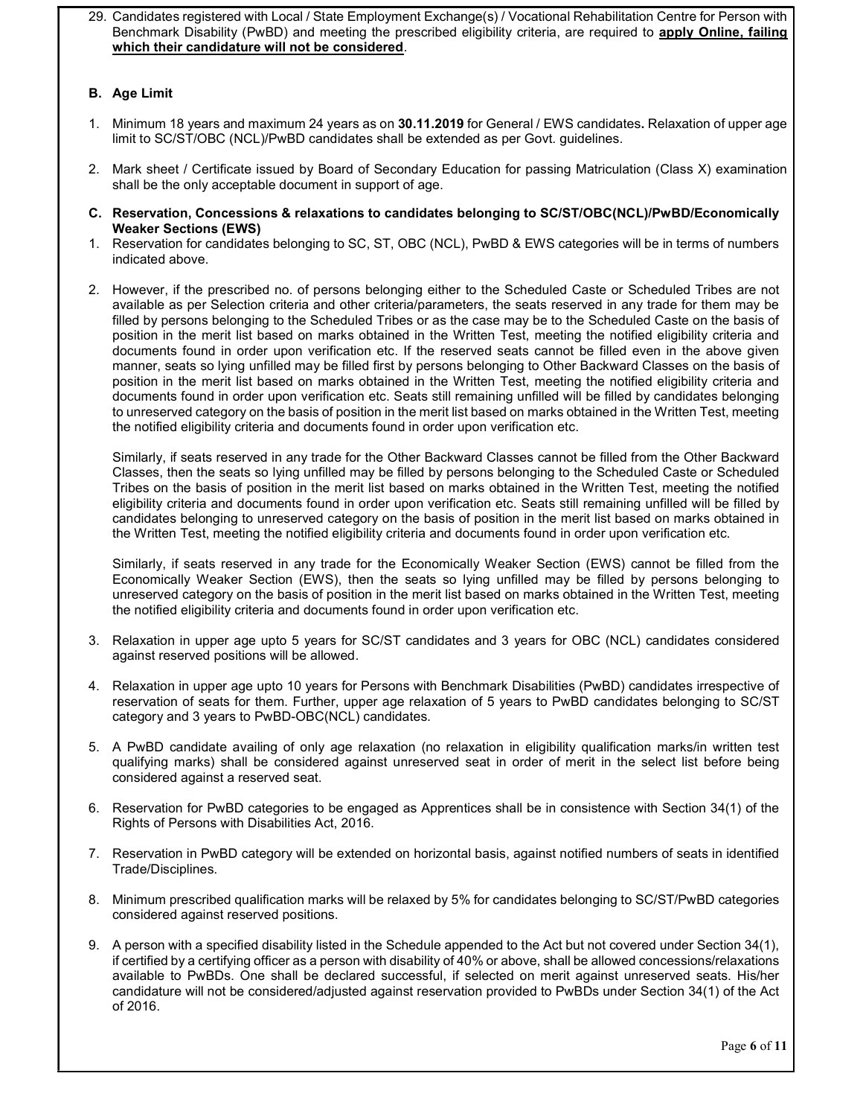29. Candidates registered with Local / State Employment Exchange(s) / Vocational Rehabilitation Centre for Person with Benchmark Disability (PwBD) and meeting the prescribed eligibility criteria, are required to apply Online, failing which their candidature will not be considered.

# B. Age Limit

- 1. Minimum 18 years and maximum 24 years as on 30.11.2019 for General / EWS candidates. Relaxation of upper age limit to SC/ST/OBC (NCL)/PwBD candidates shall be extended as per Govt. guidelines.
- 2. Mark sheet / Certificate issued by Board of Secondary Education for passing Matriculation (Class X) examination shall be the only acceptable document in support of age.
- C. Reservation, Concessions & relaxations to candidates belonging to SC/ST/OBC(NCL)/PwBD/Economically Weaker Sections (EWS)
- 1. Reservation for candidates belonging to SC, ST, OBC (NCL), PwBD & EWS categories will be in terms of numbers indicated above.
- 2. However, if the prescribed no. of persons belonging either to the Scheduled Caste or Scheduled Tribes are not available as per Selection criteria and other criteria/parameters, the seats reserved in any trade for them may be filled by persons belonging to the Scheduled Tribes or as the case may be to the Scheduled Caste on the basis of position in the merit list based on marks obtained in the Written Test, meeting the notified eligibility criteria and documents found in order upon verification etc. If the reserved seats cannot be filled even in the above given manner, seats so lying unfilled may be filled first by persons belonging to Other Backward Classes on the basis of position in the merit list based on marks obtained in the Written Test, meeting the notified eligibility criteria and documents found in order upon verification etc. Seats still remaining unfilled will be filled by candidates belonging to unreserved category on the basis of position in the merit list based on marks obtained in the Written Test, meeting the notified eligibility criteria and documents found in order upon verification etc.

Similarly, if seats reserved in any trade for the Other Backward Classes cannot be filled from the Other Backward Classes, then the seats so lying unfilled may be filled by persons belonging to the Scheduled Caste or Scheduled Tribes on the basis of position in the merit list based on marks obtained in the Written Test, meeting the notified eligibility criteria and documents found in order upon verification etc. Seats still remaining unfilled will be filled by candidates belonging to unreserved category on the basis of position in the merit list based on marks obtained in the Written Test, meeting the notified eligibility criteria and documents found in order upon verification etc.

Similarly, if seats reserved in any trade for the Economically Weaker Section (EWS) cannot be filled from the Economically Weaker Section (EWS), then the seats so lying unfilled may be filled by persons belonging to unreserved category on the basis of position in the merit list based on marks obtained in the Written Test, meeting the notified eligibility criteria and documents found in order upon verification etc.

- 3. Relaxation in upper age upto 5 years for SC/ST candidates and 3 years for OBC (NCL) candidates considered against reserved positions will be allowed.
- 4. Relaxation in upper age upto 10 years for Persons with Benchmark Disabilities (PwBD) candidates irrespective of reservation of seats for them. Further, upper age relaxation of 5 years to PwBD candidates belonging to SC/ST category and 3 years to PwBD-OBC(NCL) candidates.
- 5. A PwBD candidate availing of only age relaxation (no relaxation in eligibility qualification marks/in written test qualifying marks) shall be considered against unreserved seat in order of merit in the select list before being considered against a reserved seat.
- 6. Reservation for PwBD categories to be engaged as Apprentices shall be in consistence with Section 34(1) of the Rights of Persons with Disabilities Act, 2016.
- 7. Reservation in PwBD category will be extended on horizontal basis, against notified numbers of seats in identified Trade/Disciplines.
- 8. Minimum prescribed qualification marks will be relaxed by 5% for candidates belonging to SC/ST/PwBD categories considered against reserved positions.
- 9. A person with a specified disability listed in the Schedule appended to the Act but not covered under Section 34(1), if certified by a certifying officer as a person with disability of 40% or above, shall be allowed concessions/relaxations available to PwBDs. One shall be declared successful, if selected on merit against unreserved seats. His/her candidature will not be considered/adjusted against reservation provided to PwBDs under Section 34(1) of the Act of 2016.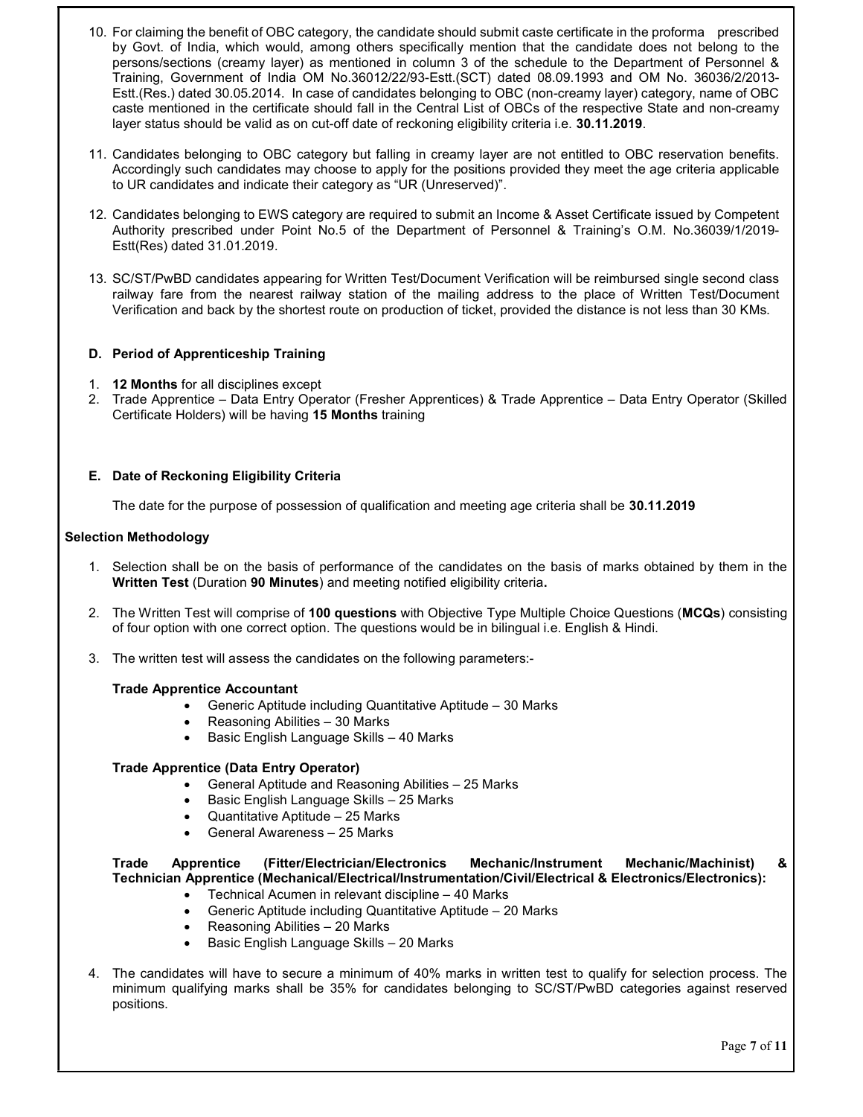- 10. For claiming the benefit of OBC category, the candidate should submit caste certificate in the proforma prescribed by Govt. of India, which would, among others specifically mention that the candidate does not belong to the persons/sections (creamy layer) as mentioned in column 3 of the schedule to the Department of Personnel & Training, Government of India OM No.36012/22/93-Estt.(SCT) dated 08.09.1993 and OM No. 36036/2/2013- Estt.(Res.) dated 30.05.2014. In case of candidates belonging to OBC (non-creamy layer) category, name of OBC caste mentioned in the certificate should fall in the Central List of OBCs of the respective State and non-creamy layer status should be valid as on cut-off date of reckoning eligibility criteria i.e. 30.11.2019.
- 11. Candidates belonging to OBC category but falling in creamy layer are not entitled to OBC reservation benefits. Accordingly such candidates may choose to apply for the positions provided they meet the age criteria applicable to UR candidates and indicate their category as "UR (Unreserved)".
- 12. Candidates belonging to EWS category are required to submit an Income & Asset Certificate issued by Competent Authority prescribed under Point No.5 of the Department of Personnel & Training's O.M. No.36039/1/2019- Estt(Res) dated 31.01.2019.
- 13. SC/ST/PwBD candidates appearing for Written Test/Document Verification will be reimbursed single second class railway fare from the nearest railway station of the mailing address to the place of Written Test/Document Verification and back by the shortest route on production of ticket, provided the distance is not less than 30 KMs.

## D. Period of Apprenticeship Training

- 1. 12 Months for all disciplines except
- 2. Trade Apprentice Data Entry Operator (Fresher Apprentices) & Trade Apprentice Data Entry Operator (Skilled Certificate Holders) will be having 15 Months training

### E. Date of Reckoning Eligibility Criteria

The date for the purpose of possession of qualification and meeting age criteria shall be 30.11.2019

### Selection Methodology

- 1. Selection shall be on the basis of performance of the candidates on the basis of marks obtained by them in the Written Test (Duration 90 Minutes) and meeting notified eligibility criteria.
- 2. The Written Test will comprise of 100 questions with Objective Type Multiple Choice Questions (MCQs) consisting of four option with one correct option. The questions would be in bilingual i.e. English & Hindi.
- 3. The written test will assess the candidates on the following parameters:-

### Trade Apprentice Accountant

- Generic Aptitude including Quantitative Aptitude 30 Marks
- Reasoning Abilities 30 Marks
- Basic English Language Skills 40 Marks

### Trade Apprentice (Data Entry Operator)

- General Aptitude and Reasoning Abilities 25 Marks
- Basic English Language Skills 25 Marks
- Quantitative Aptitude 25 Marks
- General Awareness 25 Marks

### Trade Apprentice (Fitter/Electrician/Electronics Mechanic/Instrument Mechanic/Machinist) & Technician Apprentice (Mechanical/Electrical/Instrumentation/Civil/Electrical & Electronics/Electronics):

- Technical Acumen in relevant discipline 40 Marks
- Generic Aptitude including Quantitative Aptitude 20 Marks
- Reasoning Abilities 20 Marks
- Basic English Language Skills 20 Marks
- 4. The candidates will have to secure a minimum of 40% marks in written test to qualify for selection process. The minimum qualifying marks shall be 35% for candidates belonging to SC/ST/PwBD categories against reserved positions.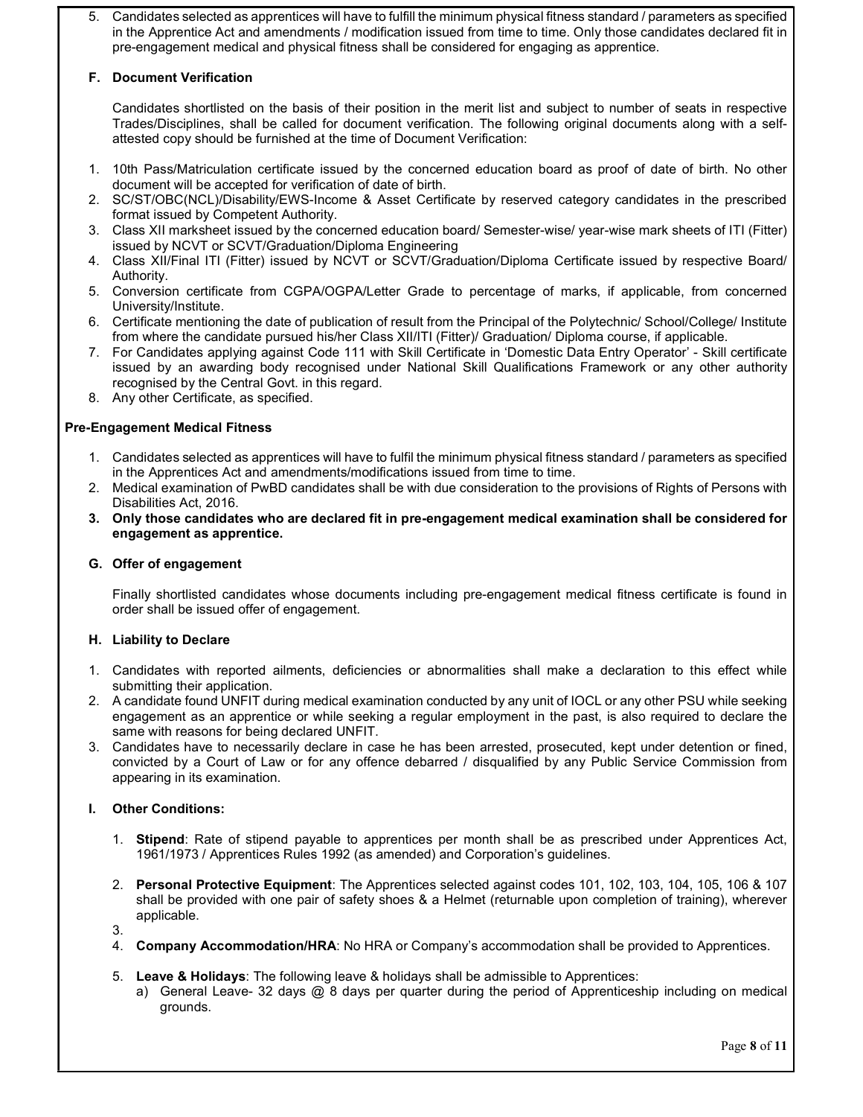5. Candidates selected as apprentices will have to fulfill the minimum physical fitness standard / parameters as specified in the Apprentice Act and amendments / modification issued from time to time. Only those candidates declared fit in pre-engagement medical and physical fitness shall be considered for engaging as apprentice.

# F. Document Verification

Candidates shortlisted on the basis of their position in the merit list and subject to number of seats in respective Trades/Disciplines, shall be called for document verification. The following original documents along with a selfattested copy should be furnished at the time of Document Verification:

- 1. 10th Pass/Matriculation certificate issued by the concerned education board as proof of date of birth. No other document will be accepted for verification of date of birth.
- 2. SC/ST/OBC(NCL)/Disability/EWS-Income & Asset Certificate by reserved category candidates in the prescribed format issued by Competent Authority.
- 3. Class XII marksheet issued by the concerned education board/ Semester-wise/ year-wise mark sheets of ITI (Fitter) issued by NCVT or SCVT/Graduation/Diploma Engineering
- 4. Class XII/Final ITI (Fitter) issued by NCVT or SCVT/Graduation/Diploma Certificate issued by respective Board/ Authority.
- 5. Conversion certificate from CGPA/OGPA/Letter Grade to percentage of marks, if applicable, from concerned University/Institute.
- 6. Certificate mentioning the date of publication of result from the Principal of the Polytechnic/ School/College/ Institute from where the candidate pursued his/her Class XII/ITI (Fitter)/ Graduation/ Diploma course, if applicable.
- 7. For Candidates applying against Code 111 with Skill Certificate in 'Domestic Data Entry Operator' Skill certificate issued by an awarding body recognised under National Skill Qualifications Framework or any other authority recognised by the Central Govt. in this regard.
- 8. Any other Certificate, as specified.

# Pre-Engagement Medical Fitness

- 1. Candidates selected as apprentices will have to fulfil the minimum physical fitness standard / parameters as specified in the Apprentices Act and amendments/modifications issued from time to time.
- 2. Medical examination of PwBD candidates shall be with due consideration to the provisions of Rights of Persons with Disabilities Act, 2016.
- 3. Only those candidates who are declared fit in pre-engagement medical examination shall be considered for engagement as apprentice.

## G. Offer of engagement

Finally shortlisted candidates whose documents including pre-engagement medical fitness certificate is found in order shall be issued offer of engagement.

## H. Liability to Declare

- 1. Candidates with reported ailments, deficiencies or abnormalities shall make a declaration to this effect while submitting their application.
- 2. A candidate found UNFIT during medical examination conducted by any unit of IOCL or any other PSU while seeking engagement as an apprentice or while seeking a regular employment in the past, is also required to declare the same with reasons for being declared UNFIT.
- 3. Candidates have to necessarily declare in case he has been arrested, prosecuted, kept under detention or fined, convicted by a Court of Law or for any offence debarred / disqualified by any Public Service Commission from appearing in its examination.

## I. Other Conditions:

- 1. Stipend: Rate of stipend payable to apprentices per month shall be as prescribed under Apprentices Act, 1961/1973 / Apprentices Rules 1992 (as amended) and Corporation's guidelines.
- 2. Personal Protective Equipment: The Apprentices selected against codes 101, 102, 103, 104, 105, 106 & 107 shall be provided with one pair of safety shoes & a Helmet (returnable upon completion of training), wherever applicable.
- 3.
- 4. Company Accommodation/HRA: No HRA or Company's accommodation shall be provided to Apprentices.
- 5. Leave & Holidays: The following leave & holidays shall be admissible to Apprentices:
	- a) General Leave- 32 days @ 8 days per quarter during the period of Apprenticeship including on medical grounds.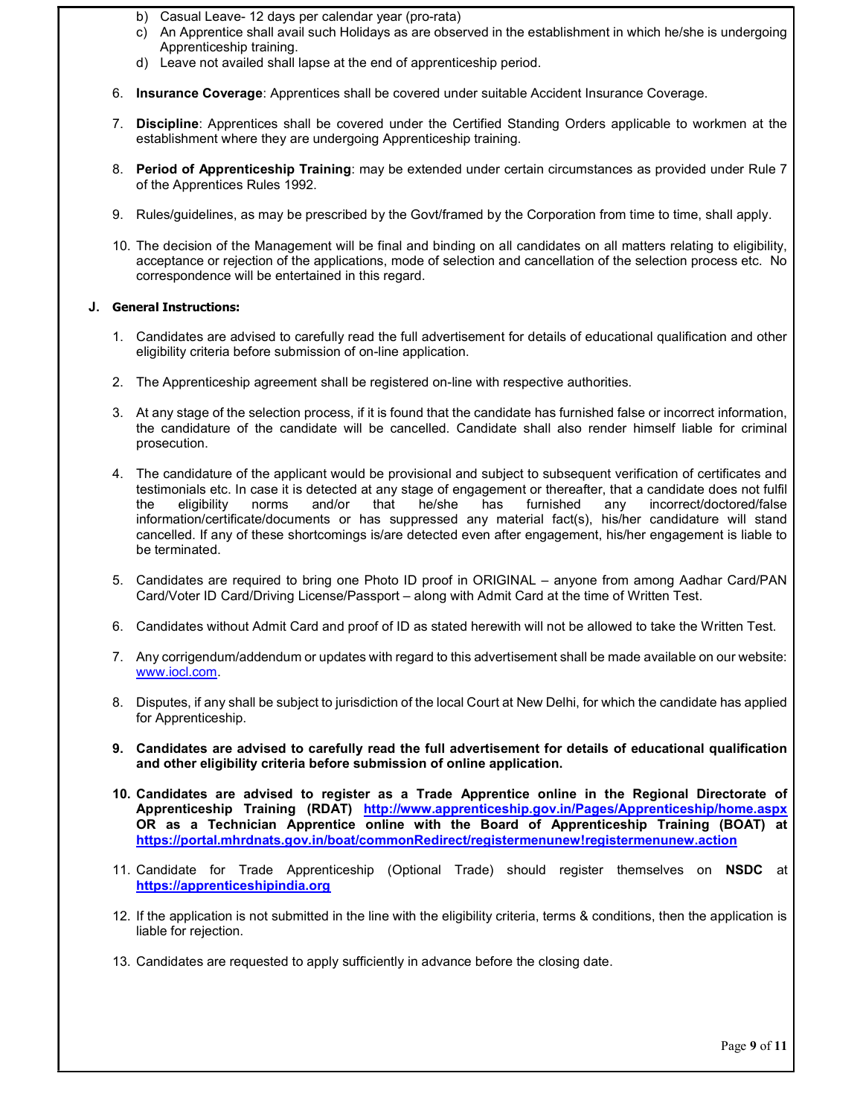- b) Casual Leave- 12 days per calendar year (pro-rata)
- c) An Apprentice shall avail such Holidays as are observed in the establishment in which he/she is undergoing Apprenticeship training.
- d) Leave not availed shall lapse at the end of apprenticeship period.
- 6. Insurance Coverage: Apprentices shall be covered under suitable Accident Insurance Coverage.
- 7. Discipline: Apprentices shall be covered under the Certified Standing Orders applicable to workmen at the establishment where they are undergoing Apprenticeship training.
- 8. Period of Apprenticeship Training: may be extended under certain circumstances as provided under Rule 7 of the Apprentices Rules 1992.
- 9. Rules/guidelines, as may be prescribed by the Govt/framed by the Corporation from time to time, shall apply.
- 10. The decision of the Management will be final and binding on all candidates on all matters relating to eligibility, acceptance or rejection of the applications, mode of selection and cancellation of the selection process etc. No correspondence will be entertained in this regard.

### J. General Instructions:

- 1. Candidates are advised to carefully read the full advertisement for details of educational qualification and other eligibility criteria before submission of on-line application.
- 2. The Apprenticeship agreement shall be registered on-line with respective authorities.
- 3. At any stage of the selection process, if it is found that the candidate has furnished false or incorrect information, the candidature of the candidate will be cancelled. Candidate shall also render himself liable for criminal prosecution.
- 4. The candidature of the applicant would be provisional and subject to subsequent verification of certificates and testimonials etc. In case it is detected at any stage of engagement or thereafter, that a candidate does not fulfil<br>the eligibility norms and/or that he/she has furnished any incorrect/doctored/false the eligibility norms and/or that he/she has furnished any incorrect/doctored/false information/certificate/documents or has suppressed any material fact(s), his/her candidature will stand cancelled. If any of these shortcomings is/are detected even after engagement, his/her engagement is liable to be terminated.
- 5. Candidates are required to bring one Photo ID proof in ORIGINAL anyone from among Aadhar Card/PAN Card/Voter ID Card/Driving License/Passport – along with Admit Card at the time of Written Test.
- 6. Candidates without Admit Card and proof of ID as stated herewith will not be allowed to take the Written Test.
- 7. Any corrigendum/addendum or updates with regard to this advertisement shall be made available on our website: www.iocl.com.
- 8. Disputes, if any shall be subject to jurisdiction of the local Court at New Delhi, for which the candidate has applied for Apprenticeship.
- 9. Candidates are advised to carefully read the full advertisement for details of educational qualification and other eligibility criteria before submission of online application.
- 10. Candidates are advised to register as a Trade Apprentice online in the Regional Directorate of Apprenticeship Training (RDAT) http://www.apprenticeship.gov.in/Pages/Apprenticeship/home.aspx OR as a Technician Apprentice online with the Board of Apprenticeship Training (BOAT) at https://portal.mhrdnats.gov.in/boat/commonRedirect/registermenunew!registermenunew.action
- 11. Candidate for Trade Apprenticeship (Optional Trade) should register themselves on NSDC at https://apprenticeshipindia.org
- 12. If the application is not submitted in the line with the eligibility criteria, terms & conditions, then the application is liable for rejection.
- 13. Candidates are requested to apply sufficiently in advance before the closing date.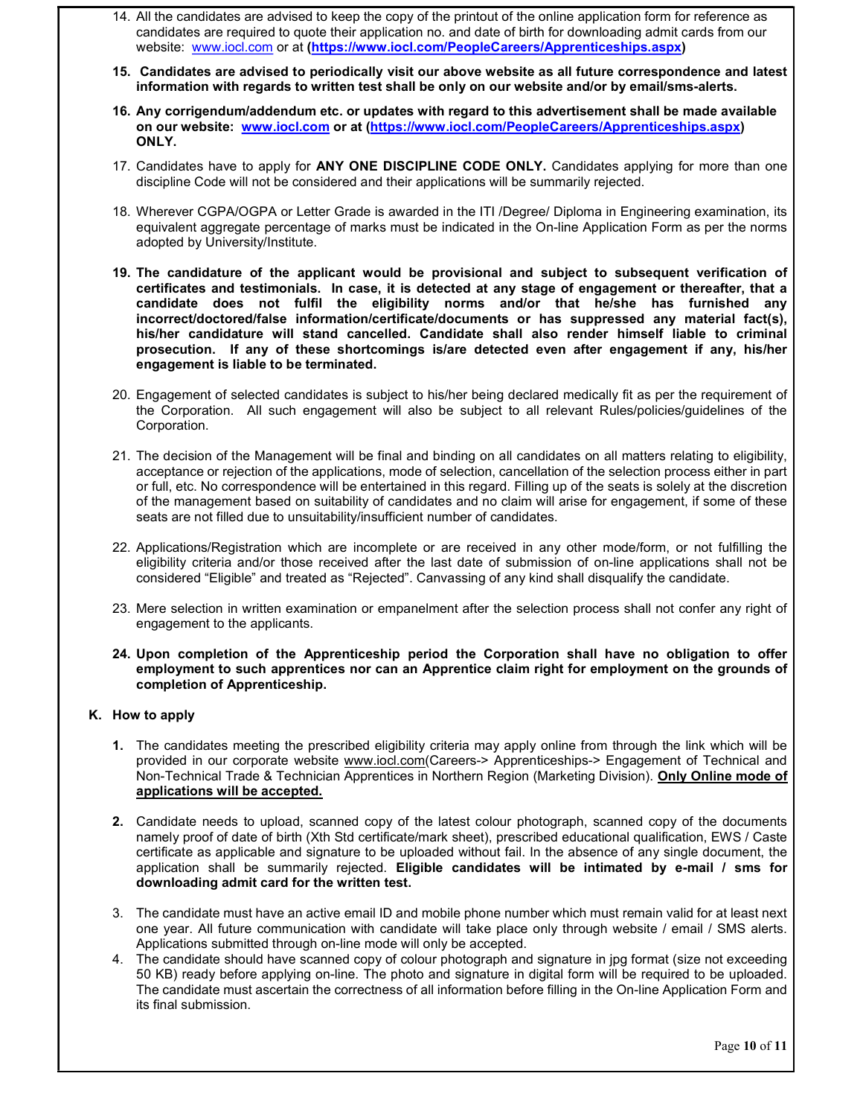- 14. All the candidates are advised to keep the copy of the printout of the online application form for reference as candidates are required to quote their application no. and date of birth for downloading admit cards from our website: www.iocl.com or at (https://www.iocl.com/PeopleCareers/Apprenticeships.aspx)
- 15. Candidates are advised to periodically visit our above website as all future correspondence and latest information with regards to written test shall be only on our website and/or by email/sms-alerts.
- 16. Any corrigendum/addendum etc. or updates with regard to this advertisement shall be made available on our website: www.iocl.com or at (https://www.iocl.com/PeopleCareers/Apprenticeships.aspx) ONLY.
- 17. Candidates have to apply for ANY ONE DISCIPLINE CODE ONLY. Candidates applying for more than one discipline Code will not be considered and their applications will be summarily rejected.
- 18. Wherever CGPA/OGPA or Letter Grade is awarded in the ITI /Degree/ Diploma in Engineering examination, its equivalent aggregate percentage of marks must be indicated in the On-line Application Form as per the norms adopted by University/Institute.
- 19. The candidature of the applicant would be provisional and subject to subsequent verification of certificates and testimonials. In case, it is detected at any stage of engagement or thereafter, that a candidate does not fulfil the eligibility norms and/or that he/she has furnished any incorrect/doctored/false information/certificate/documents or has suppressed any material fact(s), his/her candidature will stand cancelled. Candidate shall also render himself liable to criminal prosecution. If any of these shortcomings is/are detected even after engagement if any, his/her engagement is liable to be terminated.
- 20. Engagement of selected candidates is subject to his/her being declared medically fit as per the requirement of the Corporation. All such engagement will also be subject to all relevant Rules/policies/guidelines of the Corporation.
- 21. The decision of the Management will be final and binding on all candidates on all matters relating to eligibility, acceptance or rejection of the applications, mode of selection, cancellation of the selection process either in part or full, etc. No correspondence will be entertained in this regard. Filling up of the seats is solely at the discretion of the management based on suitability of candidates and no claim will arise for engagement, if some of these seats are not filled due to unsuitability/insufficient number of candidates.
- 22. Applications/Registration which are incomplete or are received in any other mode/form, or not fulfilling the eligibility criteria and/or those received after the last date of submission of on-line applications shall not be considered "Eligible" and treated as "Rejected". Canvassing of any kind shall disqualify the candidate.
- 23. Mere selection in written examination or empanelment after the selection process shall not confer any right of engagement to the applicants.
- 24. Upon completion of the Apprenticeship period the Corporation shall have no obligation to offer employment to such apprentices nor can an Apprentice claim right for employment on the grounds of completion of Apprenticeship.

## K. How to apply

- 1. The candidates meeting the prescribed eligibility criteria may apply online from through the link which will be provided in our corporate website www.iocl.com(Careers-> Apprenticeships-> Engagement of Technical and Non-Technical Trade & Technician Apprentices in Northern Region (Marketing Division). Only Online mode of applications will be accepted.
- 2. Candidate needs to upload, scanned copy of the latest colour photograph, scanned copy of the documents namely proof of date of birth (Xth Std certificate/mark sheet), prescribed educational qualification, EWS / Caste certificate as applicable and signature to be uploaded without fail. In the absence of any single document, the application shall be summarily rejected. Eligible candidates will be intimated by e-mail / sms for downloading admit card for the written test.
- 3. The candidate must have an active email ID and mobile phone number which must remain valid for at least next one year. All future communication with candidate will take place only through website / email / SMS alerts. Applications submitted through on-line mode will only be accepted.
- 4. The candidate should have scanned copy of colour photograph and signature in jpg format (size not exceeding 50 KB) ready before applying on-line. The photo and signature in digital form will be required to be uploaded. The candidate must ascertain the correctness of all information before filling in the On-line Application Form and its final submission.